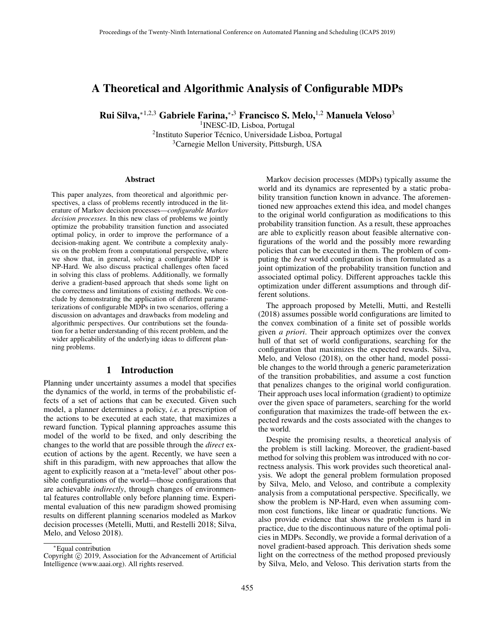# A Theoretical and Algorithmic Analysis of Configurable MDPs

Rui Silva, $*^{1,2,3}$  Gabriele Farina, $*^{3}$  Francisco S. Melo, $<sup>1,2</sup>$  Manuela Veloso<sup>3</sup></sup>

1 INESC-ID, Lisboa, Portugal <sup>2</sup>Instituto Superior Técnico, Universidade Lisboa, Portugal <sup>3</sup>Carnegie Mellon University, Pittsburgh, USA

#### Abstract

This paper analyzes, from theoretical and algorithmic perspectives, a class of problems recently introduced in the literature of Markov decision processes—*configurable Markov decision processes*. In this new class of problems we jointly optimize the probability transition function and associated optimal policy, in order to improve the performance of a decision-making agent. We contribute a complexity analysis on the problem from a computational perspective, where we show that, in general, solving a configurable MDP is NP-Hard. We also discuss practical challenges often faced in solving this class of problems. Additionally, we formally derive a gradient-based approach that sheds some light on the correctness and limitations of existing methods. We conclude by demonstrating the application of different parameterizations of configurable MDPs in two scenarios, offering a discussion on advantages and drawbacks from modeling and algorithmic perspectives. Our contributions set the foundation for a better understanding of this recent problem, and the wider applicability of the underlying ideas to different planning problems.

# 1 Introduction

Planning under uncertainty assumes a model that specifies the dynamics of the world, in terms of the probabilistic effects of a set of actions that can be executed. Given such model, a planner determines a policy, *i.e.* a prescription of the actions to be executed at each state, that maximizes a reward function. Typical planning approaches assume this model of the world to be fixed, and only describing the changes to the world that are possible through the *direct* execution of actions by the agent. Recently, we have seen a shift in this paradigm, with new approaches that allow the agent to explicitly reason at a "meta-level" about other possible configurations of the world—those configurations that are achievable *indirectly*, through changes of environmental features controllable only before planning time. Experimental evaluation of this new paradigm showed promising results on different planning scenarios modeled as Markov decision processes (Metelli, Mutti, and Restelli 2018; Silva, Melo, and Veloso 2018).

Markov decision processes (MDPs) typically assume the world and its dynamics are represented by a static probability transition function known in advance. The aforementioned new approaches extend this idea, and model changes to the original world configuration as modifications to this probability transition function. As a result, these approaches are able to explicitly reason about feasible alternative configurations of the world and the possibly more rewarding policies that can be executed in them. The problem of computing the *best* world configuration is then formulated as a joint optimization of the probability transition function and associated optimal policy. Different approaches tackle this optimization under different assumptions and through different solutions.

The approach proposed by Metelli, Mutti, and Restelli (2018) assumes possible world configurations are limited to the convex combination of a finite set of possible worlds given *a priori*. Their approach optimizes over the convex hull of that set of world configurations, searching for the configuration that maximizes the expected rewards. Silva, Melo, and Veloso (2018), on the other hand, model possible changes to the world through a generic parameterization of the transition probabilities, and assume a cost function that penalizes changes to the original world configuration. Their approach uses local information (gradient) to optimize over the given space of parameters, searching for the world configuration that maximizes the trade-off between the expected rewards and the costs associated with the changes to the world.

Despite the promising results, a theoretical analysis of the problem is still lacking. Moreover, the gradient-based method for solving this problem was introduced with no correctness analysis. This work provides such theoretical analysis. We adopt the general problem formulation proposed by Silva, Melo, and Veloso, and contribute a complexity analysis from a computational perspective. Specifically, we show the problem is NP-Hard, even when assuming common cost functions, like linear or quadratic functions. We also provide evidence that shows the problem is hard in practice, due to the discontinuous nature of the optimal policies in MDPs. Secondly, we provide a formal derivation of a novel gradient-based approach. This derivation sheds some light on the correctness of the method proposed previously by Silva, Melo, and Veloso. This derivation starts from the

<sup>∗</sup>Equal contribution

Copyright © 2019, Association for the Advancement of Artificial Intelligence (www.aaai.org). All rights reserved.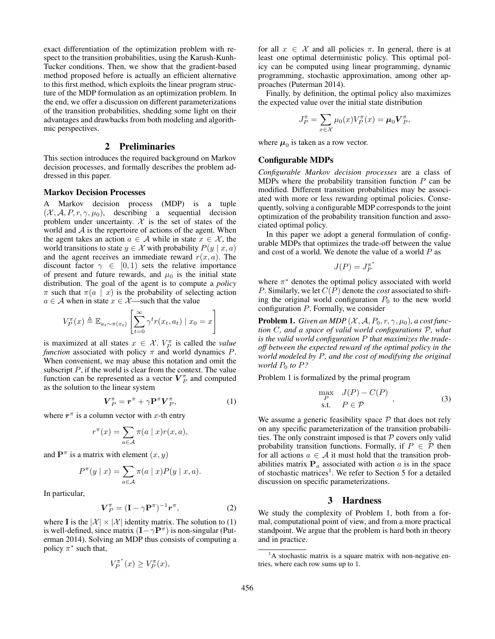exact differentiation of the optimization problem with respect to the transition probabilities, using the Karush-Kunh-Tucker conditions. Then, we show that the gradient-based method proposed before is actually an efficient alternative to this first method, which exploits the linear program structure of the MDP formulation as an optimization problem. In the end, we offer a discussion on different parameterizations of the transition probabilities, shedding some light on their advantages and drawbacks from both modeling and algorithmic perspectives.

# 2 Preliminaries

This section introduces the required background on Markov decision processes, and formally describes the problem addressed in this paper.

#### Markov Decision Processes

Markov decision process (MDP) is a tuple  $(\mathcal{X}, \mathcal{A}, P, r, \gamma, \mu_0)$ , describing a sequential decision problem under uncertainty.  $X$  is the set of states of the world and  $A$  is the repertoire of actions of the agent. When the agent takes an action  $a \in \mathcal{A}$  while in state  $x \in \mathcal{X}$ , the world transitions to state  $y \in \mathcal{X}$  with probability  $P(y | x, a)$ and the agent receives an immediate reward  $r(x, a)$ . The discount factor  $\gamma \in [0, 1)$  sets the relative importance of present and future rewards, and  $\mu_0$  is the initial state distribution. The goal of the agent is to compute a *policy*  $\pi$  such that  $\pi(a \mid x)$  is the probability of selecting action  $a \in \mathcal{A}$  when in state  $x \in \mathcal{X}$ —such that the value

$$
V_P^{\pi}(x) \triangleq \mathbb{E}_{a_t \sim \pi(x_t)} \left[ \sum_{t=0}^{\infty} \gamma^t r(x_t, a_t) \mid x_0 = x \right]
$$

is maximized at all states  $x \in \mathcal{X}$ .  $V_P^{\pi}$  is called the *value function* associated with policy  $\pi$  and world dynamics P. When convenient, we may abuse this notation and omit the subscript  $P$ , if the world is clear from the context. The value function can be represented as a vector  $V_P^{\pi}$  and computed as the solution to the linear system

$$
\boldsymbol{V}_{P}^{\pi} = \boldsymbol{r}^{\pi} + \gamma \mathbf{P}^{\pi} \boldsymbol{V}_{P}^{\pi}, \tag{1}
$$

where  $r^{\pi}$  is a column vector with x-th entry

$$
r^{\pi}(x) = \sum_{a \in \mathcal{A}} \pi(a \mid x) r(x, a),
$$

and  $\mathbf{P}^{\pi}$  is a matrix with element  $(x, y)$ 

$$
P^{\pi}(y \mid x) = \sum_{a \in \mathcal{A}} \pi(a \mid x) P(y \mid x, a).
$$

In particular,

$$
\boldsymbol{V}_P^{\pi} = (\mathbf{I} - \gamma \mathbf{P}^{\pi})^{-1} \boldsymbol{r}^{\pi}, \tag{2}
$$

where I is the  $|\mathcal{X}| \times |\mathcal{X}|$  identity matrix. The solution to (1) is well-defined, since matrix  $(I - \gamma P^{\pi})$  is non-singular (Puterman 2014). Solving an MDP thus consists of computing a policy  $\pi^*$  such that,

$$
V_P^{\pi^*}(x) \ge V_P^{\pi}(x),
$$

for all  $x \in \mathcal{X}$  and all policies  $\pi$ . In general, there is at least one optimal deterministic policy. This optimal policy can be computed using linear programming, dynamic programming, stochastic approximation, among other approaches (Puterman 2014).

Finally, by definition, the optimal policy also maximizes the expected value over the initial state distribution

$$
J_P^{\pi} = \sum_{x \in \mathcal{X}} \mu_0(x) V_P^{\pi}(x) = \mu_0 V_P^{\pi},
$$

where  $\mu_0$  is taken as a row vector.

# Configurable MDPs

*Configurable Markov decision processes* are a class of MDPs where the probability transition function  $P$  can be modified. Different transition probabilities may be associated with more or less rewarding optimal policies. Consequently, solving a configurable MDP corresponds to the joint optimization of the probability transition function and associated optimal policy.

In this paper we adopt a general formulation of configurable MDPs that optimizes the trade-off between the value and cost of a world. We denote the value of a world P as

$$
J(P)=J_P^{\pi^*}
$$

where  $\pi^*$  denotes the optimal policy associated with world P. Similarly, we let  $C(P)$  denote the *cost* associated to shifting the original world configuration  $P_0$  to the new world configuration P. Formally, we consider

**Problem 1.** *Given an MDP*  $(X, A, P_0, r, \gamma, \mu_0)$ *, a cost function* C*, and a space of valid world configurations* P*, what is the valid world configuration* P *that maximizes the tradeoff between the expected reward of the optimal policy in the world modeled by* P*, and the cost of modifying the original world*  $P_0$  *to*  $P$ *?* 

Problem 1 is formalized by the primal program

$$
\max_{P} \quad J(P) - C(P) \n\text{s.t.} \quad P \in \mathcal{P}
$$
\n(3)

We assume a generic feasibility space  $P$  that does not rely on any specific parameterization of the transition probabilities. The only constraint imposed is that  $P$  covers only valid probability transition functions. Formally, if  $P \in \mathcal{P}$  then for all actions  $a \in A$  it must hold that the transition probabilities matrix  $P_a$  associated with action a is in the space of stochastic matrices<sup>1</sup>. We refer to Section 5 for a detailed discussion on specific parameterizations.

# 3 Hardness

We study the complexity of Problem 1, both from a formal, computational point of view, and from a more practical standpoint. We argue that the problem is hard both in theory and in practice.

 $<sup>1</sup>A$  stochastic matrix is a square matrix with non-negative en-</sup> tries, where each row sums up to 1.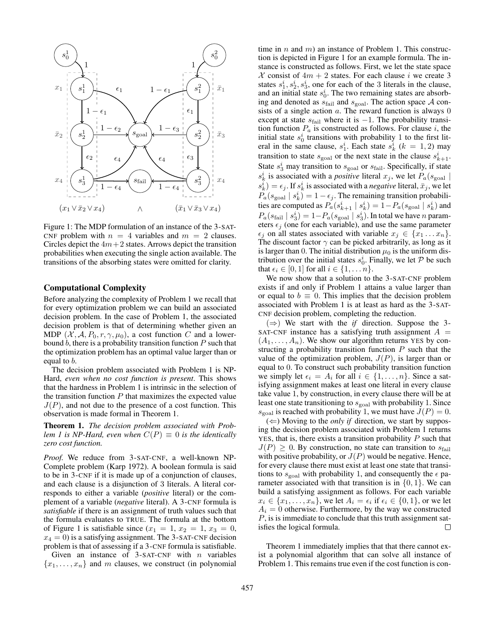

Figure 1: The MDP formulation of an instance of the 3-SAT-CNF problem with  $n = 4$  variables and  $m = 2$  clauses. Circles depict the  $4m+2$  states. Arrows depict the transition probabilities when executing the single action available. The transitions of the absorbing states were omitted for clarity.

# Computational Complexity

Before analyzing the complexity of Problem 1 we recall that for every optimization problem we can build an associated decision problem. In the case of Problem 1, the associated decision problem is that of determining whether given an MDP  $(X, \mathcal{A}, P_0, r, \gamma, \mu_0)$ , a cost function C and a lowerbound  $b$ , there is a probability transition function  $P$  such that the optimization problem has an optimal value larger than or equal to b.

The decision problem associated with Problem 1 is NP-Hard, *even when no cost function is present*. This shows that the hardness in Problem 1 is intrinsic in the selection of the transition function  $P$  that maximizes the expected value  $J(P)$ , and not due to the presence of a cost function. This observation is made formal in Theorem 1.

Theorem 1. *The decision problem associated with Problem 1 is NP-Hard, even when*  $C(P) \equiv 0$  *is the identically zero cost function.*

*Proof.* We reduce from 3-SAT-CNF, a well-known NP-Complete problem (Karp 1972). A boolean formula is said to be in 3-CNF if it is made up of a conjunction of clauses, and each clause is a disjunction of 3 literals. A literal corresponds to either a variable (*positive* literal) or the complement of a variable (*negative* literal). A 3-CNF formula is *satisfiable* if there is an assignment of truth values such that the formula evaluates to TRUE. The formula at the bottom of Figure 1 is satisfiable since  $(x_1 = 1, x_2 = 1, x_3 = 0,$  $x_4 = 0$ ) is a satisfying assignment. The 3-SAT-CNF decision problem is that of assessing if a 3-CNF formula is satisfiable.

Given an instance of  $3$ -SAT-CNF with *n* variables  ${x_1, \ldots, x_n}$  and m clauses, we construct (in polynomial time in  $n$  and  $m$ ) an instance of Problem 1. This construction is depicted in Figure 1 for an example formula. The instance is constructed as follows. First, we let the state space X consist of  $4m + 2$  states. For each clause i we create 3 states  $s_1^i$ ,  $s_2^i$ ,  $s_3^i$ , one for each of the 3 literals in the clause, and an initial state  $s_0^i$ . The two remaining states are absorbing and denoted as  $s_{\text{fail}}$  and  $s_{\text{goal}}$ . The action space A consists of a single action  $a$ . The reward function is always  $0$ except at state  $s_{\text{fail}}$  where it is  $-1$ . The probability transition function  $P_a$  is constructed as follows. For clause i, the initial state  $s_0^i$  transitions with probability 1 to the first literal in the same clause,  $s_1^i$ . Each state  $s_k^i$  ( $k = 1, 2$ ) may transition to state  $s_{\text{goal}}$  or the next state in the clause  $s_{k+1}^i$ . State  $s_3^i$  may transition to  $s_{\text{goal}}$  or  $s_{\text{fail}}$ . Specifically, if state  $s_k^i$  is associated with a *positive* literal  $x_j$ , we let  $P_a(s_{\text{goal}} |$  $s_k^i$ ) =  $\epsilon_j$ . If  $s_k^i$  is associated with a *negative* literal,  $\bar{x}_j$ , we let  $P_a(s_{\text{goal}} \mid s_k^i) = 1 - \epsilon_j$ . The remaining transition probabilities are computed as  $P_a(s_{k+1}^i | s_k^i) = 1 - P_a(s_{\text{goal}} | s_k^i)$  and  $P_a(s_{\text{fail}} | s_3^i) = 1 - P_a(s_{\text{goal}} | s_3^i)$ . In total we have *n* parameters  $\epsilon_i$  (one for each variable), and use the same parameter  $\epsilon_j$  on all states associated with variable  $x_j \in \{x_1 \dots x_n\}.$ The discount factor  $\gamma$  can be picked arbitrarily, as long as it is larger than 0. The initial distribution  $\mu_0$  is the uniform distribution over the initial states  $s_0^i$ . Finally, we let P be such that  $\epsilon_i \in [0, 1]$  for all  $i \in \{1, \ldots n\}.$ 

We now show that a solution to the 3-SAT-CNF problem exists if and only if Problem 1 attains a value larger than or equal to  $b \equiv 0$ . This implies that the decision problem associated with Problem 1 is at least as hard as the 3-SAT-CNF decision problem, completing the reduction.

 $(\Rightarrow)$  We start with the *if* direction. Suppose the 3-SAT-CNF instance has a satisfying truth assignment  $A =$  $(A_1, \ldots, A_n)$ . We show our algorithm returns YES by constructing a probability transition function  $P$  such that the value of the optimization problem,  $J(P)$ , is larger than or equal to 0. To construct such probability transition function we simply let  $\epsilon_i = A_i$  for all  $i \in \{1, \ldots, n\}$ . Since a satisfying assignment makes at least one literal in every clause take value 1, by construction, in every clause there will be at least one state transitioning to  $s_{\text{goal}}$  with probability 1. Since  $s_{\text{goal}}$  is reached with probability 1, we must have  $J(P) = 0$ .

 $(\Leftarrow)$  Moving to the *only if* direction, we start by supposing the decision problem associated with Problem 1 returns YES, that is, there exists a transition probability  $P$  such that  $J(P) \geq 0$ . By construction, no state can transition to  $s_{\text{fail}}$ with positive probability, or  $J(P)$  would be negative. Hence, for every clause there must exist at least one state that transitions to  $s_{\text{goal}}$  with probability 1, and consequently the  $\epsilon$  parameter associated with that transition is in  $\{0, 1\}$ . We can build a satisfying assignment as follows. For each variable  $x_i \in \{x_1, \ldots, x_n\}$ , we let  $A_i = \epsilon_i$  if  $\epsilon_i \in \{0, 1\}$ , or we let  $A_i = 0$  otherwise. Furthermore, by the way we constructed P, is is immediate to conclude that this truth assignment satisfies the logical formula.  $\Box$ 

Theorem 1 immediately implies that that there cannot exist a polynomial algorithm that can solve all instance of Problem 1. This remains true even if the cost function is con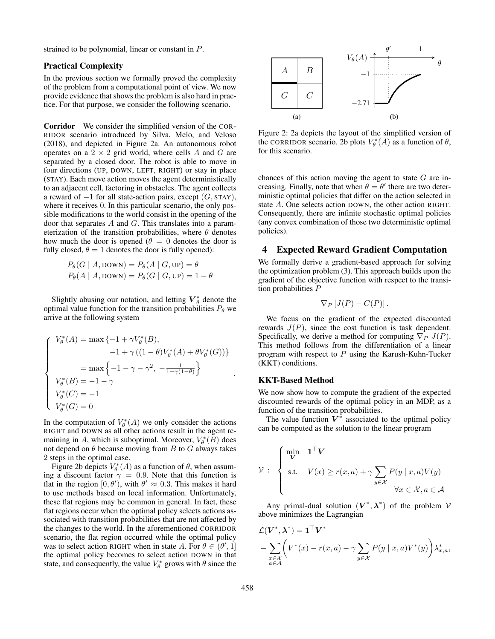strained to be polynomial, linear or constant in P.

# Practical Complexity

In the previous section we formally proved the complexity of the problem from a computational point of view. We now provide evidence that shows the problem is also hard in practice. For that purpose, we consider the following scenario.

Corridor We consider the simplified version of the COR-RIDOR scenario introduced by Silva, Melo, and Veloso (2018), and depicted in Figure 2a. An autonomous robot operates on a  $2 \times 2$  grid world, where cells A and G are separated by a closed door. The robot is able to move in four directions (UP, DOWN, LEFT, RIGHT) or stay in place (STAY). Each move action moves the agent deterministically to an adjacent cell, factoring in obstacles. The agent collects a reward of  $-1$  for all state-action pairs, except  $(G, STAY)$ , where it receives 0. In this particular scenario, the only possible modifications to the world consist in the opening of the door that separates A and G. This translates into a parameterization of the transition probabilities, where  $\theta$  denotes how much the door is opened ( $\theta = 0$  denotes the door is fully closed,  $\theta = 1$  denotes the door is fully opened):

$$
P_{\theta}(G \mid A, \text{DOWN}) = P_{\theta}(A \mid G, \text{UP}) = \theta
$$
  

$$
P_{\theta}(A \mid A, \text{DOWN}) = P_{\theta}(G \mid G, \text{UP}) = 1 - \theta
$$

Slightly abusing our notation, and letting  $V^*_{\theta}$  denote the optimal value function for the transition probabilities  $P_{\theta}$  we arrive at the following system

$$
\left\{\begin{array}{l} V_{\theta}^{*}(A)=\max\left\{-1+\gamma V_{\theta}^{*}(B), \right. \\ \left. \qquad \qquad -1+\gamma \left((1-\theta)V_{\theta}^{*}(A)+\theta V_{\theta}^{*}(G)\right)\right\} \\ \qquad \qquad =\max\left\{-1-\gamma-\gamma^{2}, \ -\frac{1}{1-\gamma(1-\theta)}\right\} \\ V_{\theta}^{*}(B)= -1-\gamma \\ V_{\theta}^{*}(C)=-1 \\ V_{\theta}^{*}(G)=0 \end{array}\right.
$$

In the computation of  $V^*_{\theta}(A)$  we only consider the actions RIGHT and DOWN as all other actions result in the agent remaining in A, which is suboptimal. Moreover,  $V^*_{\theta}(B)$  does not depend on  $\theta$  because moving from B to G always takes 2 steps in the optimal case.

Figure 2b depicts  $V^*_{\theta}(A)$  as a function of  $\theta$ , when assuming a discount factor  $\gamma = 0.9$ . Note that this function is flat in the region  $[0, \theta')$ , with  $\theta' \approx 0.3$ . This makes it hard to use methods based on local information. Unfortunately, these flat regions may be common in general. In fact, these flat regions occur when the optimal policy selects actions associated with transition probabilities that are not affected by the changes to the world. In the aforementioned CORRIDOR scenario, the flat region occurred while the optimal policy was to select action RIGHT when in state A. For  $\theta \in (\theta', 1]$ the optimal policy becomes to select action DOWN in that state, and consequently, the value  $V^*_{\theta}$  grows with  $\theta$  since the



Figure 2: 2a depicts the layout of the simplified version of the CORRIDOR scenario. 2b plots  $V^*_{\theta}(A)$  as a function of  $\theta$ , for this scenario.

chances of this action moving the agent to state  $G$  are increasing. Finally, note that when  $\theta = \theta'$  there are two deterministic optimal policies that differ on the action selected in state A. One selects action DOWN, the other action RIGHT. Consequently, there are infinite stochastic optimal policies (any convex combination of those two deterministic optimal policies).

# 4 Expected Reward Gradient Computation

We formally derive a gradient-based approach for solving the optimization problem (3). This approach builds upon the gradient of the objective function with respect to the transition probabilities P

$$
\nabla_P \left[ J(P) - C(P) \right].
$$

We focus on the gradient of the expected discounted rewards  $J(P)$ , since the cost function is task dependent. Specifically, we derive a method for computing  $\nabla_P J(P)$ . This method follows from the differentiation of a linear program with respect to  $P$  using the Karush-Kuhn-Tucker (KKT) conditions.

#### KKT-Based Method

We now show how to compute the gradient of the expected discounted rewards of the optimal policy in an MDP, as a function of the transition probabilities.

The value function  $V^*$  associated to the optimal policy can be computed as the solution to the linear program

$$
\mathcal{V}: \begin{cases} \min_{\mathbf{V}} & \mathbf{1}^{\top}\mathbf{V} \\ \text{s.t.} & V(x) \ge r(x, a) + \gamma \sum_{y \in \mathcal{X}} P(y \mid x, a) V(y) \\ & \forall x \in \mathcal{X}, a \in \mathcal{A} \end{cases}
$$

Any primal-dual solution  $(V^*, \lambda^*)$  of the problem  $V$ above minimizes the Lagrangian

$$
\mathcal{L}(\mathbf{V}^*, \boldsymbol{\lambda}^*) = \mathbf{1}^\top \mathbf{V}^* \n- \sum_{\substack{x \in \mathcal{X} \\ a \in \mathcal{A}}} \left( V^*(x) - r(x, a) - \gamma \sum_{y \in \mathcal{X}} P(y \mid x, a) V^*(y) \right) \lambda_{x, a}^*,
$$

.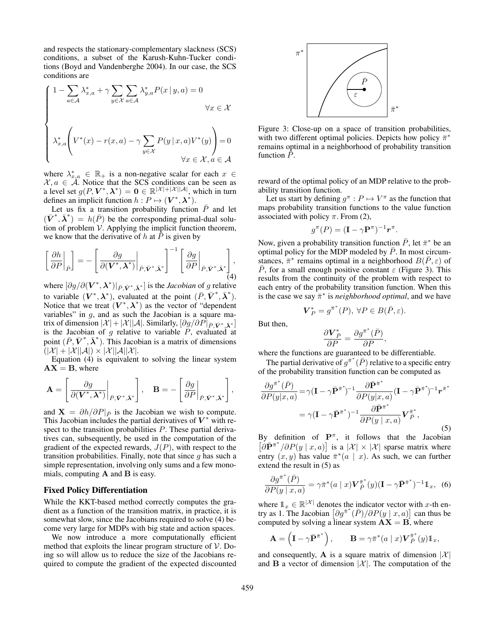and respects the stationary-complementary slackness (SCS) conditions, a subset of the Karush-Kuhn-Tucker conditions (Boyd and Vandenberghe 2004). In our case, the SCS conditions are

$$
\begin{cases}\n1 - \sum_{a \in \mathcal{A}} \lambda_{x,a}^* + \gamma \sum_{y \in \mathcal{X}} \sum_{a \in \mathcal{A}} \lambda_{y,a}^* P(x | y, a) = 0 \\
\forall x \in \mathcal{X} \\
\lambda_{x,a}^* \left( V^*(x) - r(x,a) - \gamma \sum_{y \in \mathcal{X}} P(y | x, a) V^*(y) \right) = 0 \\
\forall x \in \mathcal{X}, a \in \mathcal{A}\n\end{cases}
$$

where  $\lambda_{x,a}^* \in \mathbb{R}_+$  is a non-negative scalar for each  $x \in$  $\mathcal{X}, a \in \mathcal{A}$ . Notice that the SCS conditions can be seen as a level set  $g(P, \mathbf{V}^*, \boldsymbol{\lambda}^*) = \mathbf{0} \in \mathbb{R}^{|\mathcal{X}|+|\mathcal{X}||\mathcal{A}|}$ , which in turn defines an implicit function  $h : P \mapsto (\mathbf{V}^*, \boldsymbol{\lambda}^*)$ .

Let us fix a transition probability function  $\bar{P}$  and let  $(\bar{V}^*, \bar{\lambda}^*) = h(\bar{P})$  be the corresponding primal-dual solution of problem  $V$ . Applying the implicit function theorem, we know that the derivative of  $h$  at  $P$  is given by

$$
\left[\left.\frac{\partial h}{\partial P}\right|_{\bar{P}}\right] = -\left[\left.\frac{\partial g}{\partial (\mathbf{V}^*, \boldsymbol{\lambda}^*)}\right|_{\bar{P}, \bar{\mathbf{V}}^*, \bar{\boldsymbol{\lambda}}^*}\right]^{-1} \left[\left.\frac{\partial g}{\partial P}\right|_{\bar{P}, \bar{\mathbf{V}}^*, \bar{\boldsymbol{\lambda}}^*}\right],\tag{4}
$$

where  $[\partial g / \partial (\boldsymbol{V}^*, \boldsymbol{\lambda}^*)|_{\bar{P}, \bar{\boldsymbol{V}}^*, \bar{\boldsymbol{\lambda}}^*}]$  is the *Jacobian* of g relative to variable  $(V^*, \lambda^*)$ , evaluated at the point  $(\bar{P}, \bar{V}^*, \bar{\lambda}^*)$ . Notice that we treat  $(V^*, \lambda^*)$  as the vector of "dependent" variables" in  $g$ , and as such the Jacobian is a square matrix of dimension  $|\mathcal{X}| + |\mathcal{X}||\mathcal{A}|$ . Similarly,  $[\partial g/\partial P|_{\bar{P}, \bar{V}^*, \bar{\lambda}^*}]$ is the Jacobian of  $g$  relative to variable  $P$ , evaluated at point  $(\bar{P}, \bar{V}^*, \bar{\lambda}^*)$ . This Jacobian is a matrix of dimensions  $(|\mathcal{X}| + |\mathcal{X}||\mathcal{A}|) \times |\mathcal{X}||\mathcal{A}||\mathcal{X}|.$ 

Equation (4) is equivalent to solving the linear system  $AX = B$ , where

$$
\mathbf{A} = \left[ \left. \frac{\partial g}{\partial (\mathbf{V}^*, \boldsymbol{\lambda}^*)} \right|_{\bar{P}, \bar{\mathbf{V}}^*, \bar{\boldsymbol{\lambda}}^*} \right], \quad \mathbf{B} = -\left[ \left. \frac{\partial g}{\partial P} \right|_{\bar{P}, \bar{\mathbf{V}}^*, \bar{\boldsymbol{\lambda}}^*} \right],
$$

and  $X = \partial h / \partial P|_{\bar{P}}$  is the Jacobian we wish to compute. This Jacobian includes the partial derivatives of  $V^*$  with respect to the transition probabilities P. These partial derivatives can, subsequently, be used in the computation of the gradient of the expected rewards,  $J(P)$ , with respect to the transition probabilities. Finally, note that since  $g$  has such a simple representation, involving only sums and a few monomials, computing A and B is easy.

#### Fixed Policy Differentiation

While the KKT-based method correctly computes the gradient as a function of the transition matrix, in practice, it is somewhat slow, since the Jacobians required to solve (4) become very large for MDPs with big state and action spaces.

We now introduce a more computationally efficient method that exploits the linear program structure of  $V$ . Doing so will allow us to reduce the size of the Jacobians required to compute the gradient of the expected discounted



Figure 3: Close-up on a space of transition probabilities, with two different optimal policies. Depicts how policy  $\bar{\pi}^*$ remains optimal in a neighborhood of probability transition function  $\overline{P}$ .

reward of the optimal policy of an MDP relative to the probability transition function.

Let us start by defining  $g^{\pi}: P \mapsto V^{\pi}$  as the function that maps probability transition functions to the value function associated with policy  $\pi$ . From (2),

$$
g^{\pi}(P) = (\mathbf{I} - \gamma \mathbf{P}^{\pi})^{-1} \mathbf{r}^{\pi}.
$$

Now, given a probability transition function  $\bar{P}$ , let  $\bar{\pi}^*$  be an optimal policy for the MDP modeled by  $\bar{P}$ . In most circumstances,  $\bar{\pi}^*$  remains optimal in a neighborhood  $B(\bar{P}, \varepsilon)$  of P, for a small enough positive constant  $\varepsilon$  (Figure 3). This results from the continuity of the problem with respect to each entry of the probability transition function. When this is the case we say  $\bar{\pi}^*$  is *neighborhood optimal*, and we have

$$
\boldsymbol{V}_{P}^{*} = \boldsymbol{g}^{\bar{\pi}^{*}}(P), \ \forall P \in B(\bar{P}, \varepsilon).
$$

But then,

$$
\frac{\partial \boldsymbol{V}^*_{\bar{P}}}{\partial P} = \frac{\partial g^{\bar{\pi}^*}(\bar{P})}{\partial P},
$$

where the functions are guaranteed to be differentiable.

The partial derivative of  $g^{\pi^*}(\bar{P})$  relative to a specific entry of the probability transition function can be computed as

$$
\frac{\partial g^{\bar{\pi}^*}(\bar{P})}{\partial P(y|x,a)} = \gamma (\mathbf{I} - \gamma \bar{\mathbf{P}}^{\bar{\pi}^*})^{-1} \frac{\partial \bar{\mathbf{P}}^{\bar{\pi}^*}}{\partial P(y|x,a)} (\mathbf{I} - \gamma \bar{\mathbf{P}}^{\bar{\pi}^*})^{-1} \mathbf{r}^{\bar{\pi}^*}
$$

$$
= \gamma (\mathbf{I} - \gamma \bar{\mathbf{P}}^{\bar{\pi}^*})^{-1} \frac{\partial \bar{\mathbf{P}}^{\bar{\pi}^*}}{\partial P(y|x,a)} \mathbf{V}_{\bar{P}}^{\bar{\pi}^*}, \tag{5}
$$

By definition of  $\mathbf{P}^{\pi}$ , it follows that the Jacobian  $\left[\partial \bar{P}^{\pi^*}/\partial P(y \mid x, a)\right]$  is a  $|\mathcal{X}| \times |\mathcal{X}|$  sparse matrix where entry  $(x, y)$  has value  $\bar{\pi}^*(a \mid x)$ . As such, we can further extend the result in (5) as

$$
\frac{\partial g^{\bar{\pi}^*}(\bar{P})}{\partial P(y \mid x, a)} = \gamma \bar{\pi}^*(a \mid x) \boldsymbol{V}_{\bar{P}}^{\bar{\pi}^*}(y) (\mathbf{I} - \gamma \bar{\mathbf{P}}^{\bar{\pi}^*})^{-1} \mathbb{1}_x, \tag{6}
$$

where  $\mathbb{1}_x \in \mathbb{R}^{|\mathcal{X}|}$  denotes the indicator vector with x-th entry as 1. The Jacobian  $\left[\partial g^{\bar{\pi}^*}(\bar{P})/\partial P(y \mid x, a)\right]$  can thus be computed by solving a linear system  $AX = B$ , where

$$
\mathbf{A} = \left(\mathbf{I} - \gamma \bar{\mathbf{P}}^{\bar{\pi}^*}\right), \qquad \mathbf{B} = \gamma \bar{\pi}^*(a \mid x) \mathbf{V}_{\bar{P}}^{\bar{\pi}^*}(y) \mathbb{1}_x,
$$

and consequently, **A** is a square matrix of dimension  $|\mathcal{X}|$ and **B** a vector of dimension  $|\mathcal{X}|$ . The computation of the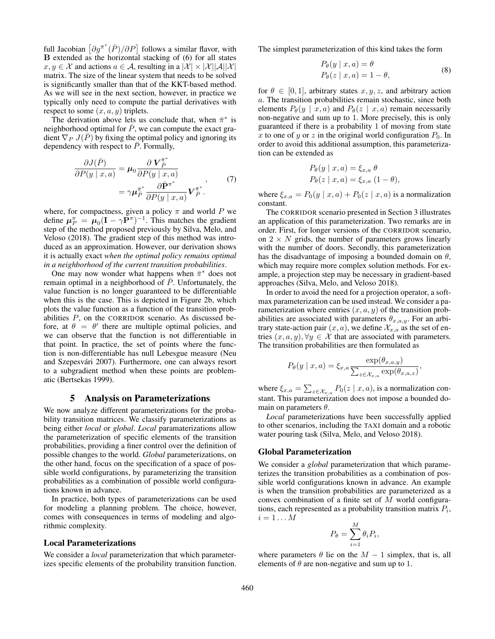full Jacobian  $\left[\partial g^{\bar{\pi}^*}(\bar{P})/\partial P\right]$  follows a similar flavor, with B extended as the horizontal stacking of (6) for all states  $x, y \in \mathcal{X}$  and actions  $a \in \mathcal{A}$ , resulting in a  $|\mathcal{X}| \times |\mathcal{X}||\mathcal{A}||\mathcal{X}|$ matrix. The size of the linear system that needs to be solved is significantly smaller than that of the KKT-based method. As we will see in the next section, however, in practice we typically only need to compute the partial derivatives with respect to some  $(x, a, y)$  triplets.

The derivation above lets us conclude that, when  $\bar{\pi}^*$  is neighborhood optimal for  $\overline{P}$ , we can compute the exact gradient  $\nabla_P J(\overline{P})$  by fixing the optimal policy and ignoring its dependency with respect to  $\overline{P}$ . Formally,

$$
\frac{\partial J(\bar{P})}{\partial P(y \mid x, a)} = \mu_0 \frac{\partial \mathbf{V}_{\bar{P}}^{\bar{\pi}^*}}{\partial P(y \mid x, a)}
$$
  
=\n
$$
\gamma \mu_{\bar{P}}^{\bar{\pi}^*} \frac{\partial \bar{\mathbf{P}}^{\pi^*}}{\partial P(y \mid x, a)} \mathbf{V}_{\bar{P}}^{\bar{\pi}^*}.
$$
\n(7)

where, for compactness, given a policy  $\pi$  and world P we define  $\mu_P^{\pi} = \mu_0 (\mathbf{I} - \gamma \mathbf{P}^{\pi})^{-1}$ . This matches the gradient step of the method proposed previously by Silva, Melo, and Veloso (2018). The gradient step of this method was introduced as an approximation. However, our derivation shows it is actually exact *when the optimal policy remains optimal in a neighborhood of the current transition probabilities*.

One may now wonder what happens when  $\bar{\pi}^*$  does not remain optimal in a neighborhood of  $P$ . Unfortunately, the value function is no longer guaranteed to be differentiable when this is the case. This is depicted in Figure 2b, which plots the value function as a function of the transition probabilities P, on the CORRIDOR scenario. As discussed before, at  $\theta = \theta'$  there are multiple optimal policies, and we can observe that the function is not differentiable in that point. In practice, the set of points where the function is non-differentiable has null Lebesgue measure (Neu and Szepesvári 2007). Furthermore, one can always resort to a subgradient method when these points are problematic (Bertsekas 1999).

### 5 Analysis on Parameterizations

We now analyze different parameterizations for the probability transition matrices. We classify parameterizations as being either *local* or *global*. *Local* paramaterizations allow the parameterization of specific elements of the transition probabilities, providing a finer control over the definition of possible changes to the world. *Global* parameterizations, on the other hand, focus on the specification of a space of possible world configurations, by parameterizing the transition probabilities as a combination of possible world configurations known in advance.

In practice, both types of parameterizations can be used for modeling a planning problem. The choice, however, comes with consequences in terms of modeling and algorithmic complexity.

#### Local Parameterizations

We consider a *local* parameterization that which parameterizes specific elements of the probability transition function. The simplest parameterization of this kind takes the form

$$
P_{\theta}(y \mid x, a) = \theta
$$
  
\n
$$
P_{\theta}(z \mid x, a) = 1 - \theta,
$$
\n(8)

for  $\theta \in [0, 1]$ , arbitrary states x, y, z, and arbitrary action a. The transition probabilities remain stochastic, since both elements  $P_{\theta}(y \mid x, a)$  and  $P_{\theta}(z \mid x, a)$  remain necessarily non-negative and sum up to 1. More precisely, this is only guaranteed if there is a probability 1 of moving from state x to one of y or z in the original world configuration  $P_0$ . In order to avoid this additional assumption, this parameterization can be extended as

$$
P_{\theta}(y \mid x, a) = \xi_{x,a} \theta
$$
  
\n
$$
P_{\theta}(z \mid x, a) = \xi_{x,a} (1 - \theta),
$$

where  $\xi_{x,a} = P_0(y \mid x, a) + P_0(z \mid x, a)$  is a normalization constant.

The CORRIDOR scenario presented in Section 3 illustrates an application of this parameterization. Two remarks are in order. First, for longer versions of the CORRIDOR scenario, on  $2 \times N$  grids, the number of parameters grows linearly with the number of doors. Secondly, this parameterization has the disadvantage of imposing a bounded domain on  $\theta$ , which may require more complex solution methods. For example, a projection step may be necessary in gradient-based approaches (Silva, Melo, and Veloso 2018).

In order to avoid the need for a projection operator, a softmax parameterization can be used instead. We consider a parameterization where entries  $(x, a, y)$  of the transition probabilities are associated with parameters  $\theta_{x,a,y}$ . For an arbitrary state-action pair  $(x, a)$ , we define  $\mathcal{X}_{x,a}$  as the set of entries  $(x, a, y)$ ,  $\forall y \in \mathcal{X}$  that are associated with parameters. The transition probabilities are then formulated as

$$
P_{\theta}(y \mid x, a) = \xi_{x,a} \frac{\exp(\theta_{x,a,y})}{\sum_{z \in \mathcal{X}_{x,a}} \exp(\theta_{x,a,z})},
$$

where  $\xi_{x,a} = \sum_{z \in \mathcal{X}_{x,a}} P_0(z \mid x, a)$ , is a normalization constant. This parameterization does not impose a bounded domain on parameters  $\theta$ .

*Local* parameterizations have been successfully applied to other scenarios, including the TAXI domain and a robotic water pouring task (Silva, Melo, and Veloso 2018).

# Global Parameterization

We consider a *global* parameterization that which parameterizes the transition probabilities as a combination of possible world configurations known in advance. An example is when the transition probabilities are parameterized as a convex combination of a finite set of M world configurations, each represented as a probability transition matrix  $P_i$ ,  $i=1 \ldots M$ 

$$
P_{\theta} = \sum_{i=1}^{M} \theta_i P_i,
$$

where parameters  $\theta$  lie on the  $M - 1$  simplex, that is, all elements of  $\theta$  are non-negative and sum up to 1.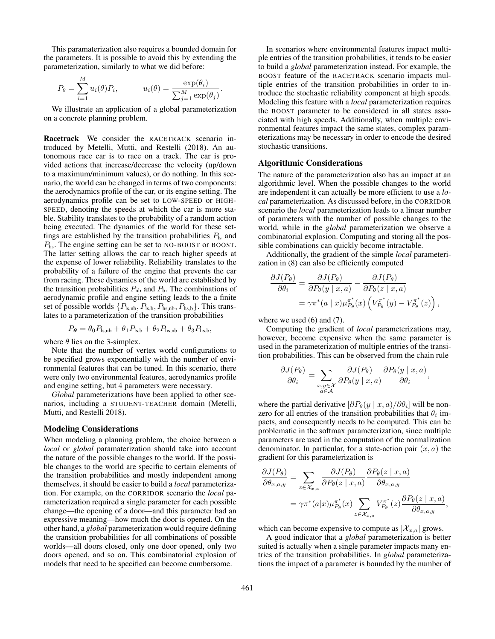This paramaterization also requires a bounded domain for the parameters. It is possible to avoid this by extending the parameterization, similarly to what we did before:

$$
P_{\theta} = \sum_{i=1}^{M} u_i(\theta) P_i, \qquad u_i(\theta) = \frac{\exp(\theta_i)}{\sum_{j=1}^{M} \exp(\theta_j)}.
$$

We illustrate an application of a global parameterization on a concrete planning problem.

Racetrack We consider the RACETRACK scenario introduced by Metelli, Mutti, and Restelli (2018). An autonomous race car is to race on a track. The car is provided actions that increase/decrease the velocity (up/down to a maximum/minimum values), or do nothing. In this scenario, the world can be changed in terms of two components: the aerodynamics profile of the car, or its engine setting. The aerodynamics profile can be set to LOW-SPEED or HIGH-SPEED, denoting the speeds at which the car is more stable. Stability translates to the probability of a random action being executed. The dynamics of the world for these settings are established by the transition probabilities  $P_{\text{ls}}$  and Phs. The engine setting can be set to NO-BOOST or BOOST. The latter setting allows the car to reach higher speeds at the expense of lower reliability. Reliability translates to the probability of a failure of the engine that prevents the car from racing. These dynamics of the world are established by the transition probabilities  $P_{\text{nb}}$  and  $P_{\text{b}}$ . The combinations of aerodynamic profile and engine setting leads to the a finite set of possible worlds  $\{P_{\text{ls},\text{nb}}, P_{\text{ls},\text{b}}, P_{\text{hs},\text{b}}, P_{\text{hs},\text{b}}\}$ . This translates to a parameterization of the transition probabilities

$$
P_{\theta} = \theta_0 P_{\text{ls},\text{nb}} + \theta_1 P_{\text{ls},\text{b}} + \theta_2 P_{\text{hs},\text{nb}} + \theta_3 P_{\text{hs},\text{b}},
$$

where  $\theta$  lies on the 3-simplex.

Note that the number of vertex world configurations to be specified grows exponentially with the number of environmental features that can be tuned. In this scenario, there were only two environmental features, aerodynamics profile and engine setting, but 4 parameters were necessary.

*Global* parameterizations have been applied to other scenarios, including a STUDENT-TEACHER domain (Metelli, Mutti, and Restelli 2018).

#### Modeling Considerations

When modeling a planning problem, the choice between a *local* or *global* paramaterization should take into account the nature of the possible changes to the world. If the possible changes to the world are specific to certain elements of the transition probabilities and mostly independent among themselves, it should be easier to build a *local* parameterization. For example, on the CORRIDOR scenario the *local* parameterization required a single parameter for each possible change—the opening of a door—and this parameter had an expressive meaning—how much the door is opened. On the other hand, a *global* parameterization would require defining the transition probabilities for all combinations of possible worlds—all doors closed, only one door opened, only two doors opened, and so on. This combinatorial explosion of models that need to be specified can become cumbersome.

In scenarios where environmental features impact multiple entries of the transition probabilities, it tends to be easier to build a *global* parameterization instead. For example, the BOOST feature of the RACETRACK scenario impacts multiple entries of the transition probabilities in order to introduce the stochastic reliability component at high speeds. Modeling this feature with a *local* parameterization requires the BOOST parameter to be considered in all states associated with high speeds. Additionally, when multiple environmental features impact the same states, complex parameterizations may be necessary in order to encode the desired stochastic transitions.

# Algorithmic Considerations

The nature of the parameterization also has an impact at an algorithmic level. When the possible changes to the world are independent it can actually be more efficient to use a *local* parameterization. As discussed before, in the CORRIDOR scenario the *local* parameterization leads to a linear number of parameters with the number of possible changes to the world, while in the *global* parameterization we observe a combinatorial explosion. Computing and storing all the possible combinations can quickly become intractable.

Additionally, the gradient of the simple *local* parameterization in (8) can also be efficiently computed

$$
\frac{\partial J(P_{\theta})}{\partial \theta_i} = \frac{\partial J(P_{\theta})}{\partial P_{\theta}(y \mid x, a)} - \frac{\partial J(P_{\theta})}{\partial P_{\theta}(z \mid x, a)}
$$

$$
= \gamma \pi^*(a \mid x) \mu_{P_{\theta}}^{\pi^*}(x) \left(V_{P_{\theta}}^{\pi^*}(y) - V_{P_{\theta}}^{\pi^*}(z)\right),
$$

where we used  $(6)$  and  $(7)$ .

Computing the gradient of *local* parameterizations may, however, become expensive when the same parameter is used in the parameterization of multiple entries of the transition probabilities. This can be observed from the chain rule

$$
\frac{\partial J(P_{\theta})}{\partial \theta_i} = \sum_{\substack{x,y \in \mathcal{X} \\ a \in \mathcal{A}}} \frac{\partial J(P_{\theta})}{\partial P_{\theta}(y \mid x, a)} \frac{\partial P_{\theta}(y \mid x, a)}{\partial \theta_i},
$$

where the partial derivative  $[\partial P_{\theta}(y \mid x, a) / \partial \theta_i]$  will be nonzero for all entries of the transition probabilities that  $\theta_i$  impacts, and consequently needs to be computed. This can be problematic in the softmax parameterization, since multiple parameters are used in the computation of the normalization denominator. In particular, for a state-action pair  $(x, a)$  the gradient for this parameterization is

$$
\frac{\partial J(P_{\theta})}{\partial \theta_{x,a,y}} = \sum_{z \in \mathcal{X}_{x,a}} \frac{\partial J(P_{\theta})}{\partial P_{\theta}(z \mid x, a)} \frac{\partial P_{\theta}(z \mid x, a)}{\partial \theta_{x,a,y}} \n= \gamma \pi^*(a|x) \mu_{P_{\theta}}^{\pi^*}(x) \sum_{z \in \mathcal{X}_{x,a}} V_{P_{\theta}}^{\pi^*}(z) \frac{\partial P_{\theta}(z \mid x, a)}{\partial \theta_{x,a,y}},
$$

which can become expensive to compute as  $|\mathcal{X}_{x,a}|$  grows.

A good indicator that a *global* parameterization is better suited is actually when a single parameter impacts many entries of the transition probabilities. In *global* parameterizations the impact of a parameter is bounded by the number of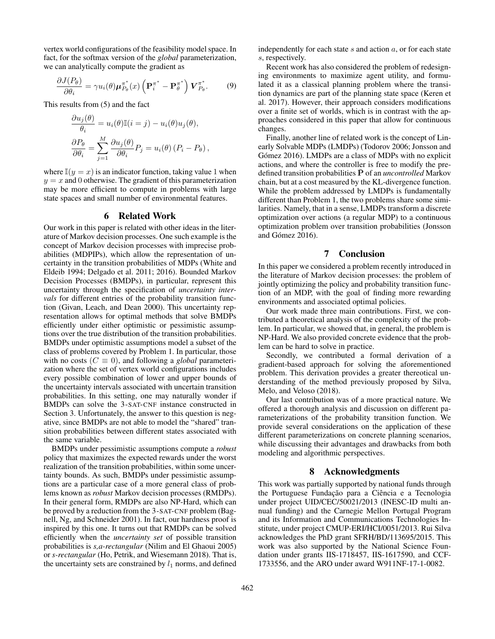vertex world configurations of the feasibility model space. In fact, for the softmax version of the *global* parameterization, we can analytically compute the gradient as

$$
\frac{\partial J(P_{\theta})}{\partial \theta_i} = \gamma u_i(\theta) \mu_{P_{\theta}}^{\pi^*}(x) \left( \mathbf{P}_i^{\pi^*} - \mathbf{P}_{\theta}^{\pi^*} \right) \boldsymbol{V}_{P_{\theta}}^{\pi^*}.
$$
 (9)

This results from (5) and the fact

$$
\frac{\partial u_j(\theta)}{\theta_i} = u_i(\theta)\mathbb{I}(i = j) - u_i(\theta)u_j(\theta),
$$
  

$$
\frac{\partial P_{\theta}}{\partial \theta_i} = \sum_{j=1}^M \frac{\partial u_j(\theta)}{\partial \theta_i} P_j = u_i(\theta) (P_i - P_{\theta}),
$$

where  $\mathbb{I}(y = x)$  is an indicator function, taking value 1 when  $y = x$  and 0 otherwise. The gradient of this parameterization may be more efficient to compute in problems with large state spaces and small number of environmental features.

### 6 Related Work

Our work in this paper is related with other ideas in the literature of Markov decision processes. One such example is the concept of Markov decision processes with imprecise probabilities (MDPIPs), which allow the representation of uncertainty in the transition probabilities of MDPs (White and Eldeib 1994; Delgado et al. 2011; 2016). Bounded Markov Decision Processes (BMDPs), in particular, represent this uncertainty through the specification of *uncertainty intervals* for different entries of the probability transition function (Givan, Leach, and Dean 2000). This uncertainty representation allows for optimal methods that solve BMDPs efficiently under either optimistic or pessimistic assumptions over the true distribution of the transition probabilities. BMDPs under optimistic assumptions model a subset of the class of problems covered by Problem 1. In particular, those with no costs ( $C \equiv 0$ ), and following a *global* parameterization where the set of vertex world configurations includes every possible combination of lower and upper bounds of the uncertainty intervals associated with uncertain transition probabilities. In this setting, one may naturally wonder if BMDPs can solve the 3-SAT-CNF instance constructed in Section 3. Unfortunately, the answer to this question is negative, since BMDPs are not able to model the "shared" transition probabilities between different states associated with the same variable.

BMDPs under pessimistic assumptions compute a *robust* policy that maximizes the expected rewards under the worst realization of the transition probabilities, within some uncertainty bounds. As such, BMDPs under pessimistic assumptions are a particular case of a more general class of problems known as *robust* Markov decision processes (RMDPs). In their general form, RMDPs are also NP-Hard, which can be proved by a reduction from the 3-SAT-CNF problem (Bagnell, Ng, and Schneider 2001). In fact, our hardness proof is inspired by this one. It turns out that RMDPs can be solved efficiently when the *uncertainty set* of possible transition probabilities is *s,a-rectangular* (Nilim and El Ghaoui 2005) or *s-rectangular* (Ho, Petrik, and Wiesemann 2018). That is, the uncertainty sets are constrained by  $l_1$  norms, and defined independently for each state  $s$  and action  $a$ , or for each state s, respectively.

Recent work has also considered the problem of redesigning environments to maximize agent utility, and formulated it as a classical planning problem where the transition dynamics are part of the planning state space (Keren et al. 2017). However, their approach considers modifications over a finite set of worlds, which is in contrast with the approaches considered in this paper that allow for continuous changes.

Finally, another line of related work is the concept of Linearly Solvable MDPs (LMDPs) (Todorov 2006; Jonsson and Gómez 2016). LMDPs are a class of MDPs with no explicit actions, and where the controller is free to modify the predefined transition probabilities  $\bar{P}$  of an *uncontrolled* Markov chain, but at a cost measured by the KL-divergence function. While the problem addressed by LMDPs is fundamentally different than Problem 1, the two problems share some similarities. Namely, that in a sense, LMDPs transform a discrete optimization over actions (a regular MDP) to a continuous optimization problem over transition probabilities (Jonsson and Gómez 2016).

# 7 Conclusion

In this paper we considered a problem recently introduced in the literature of Markov decision processes: the problem of jointly optimizing the policy and probability transition function of an MDP, with the goal of finding more rewarding environments and associated optimal policies.

Our work made three main contributions. First, we contributed a theoretical analysis of the complexity of the problem. In particular, we showed that, in general, the problem is NP-Hard. We also provided concrete evidence that the problem can be hard to solve in practice.

Secondly, we contributed a formal derivation of a gradient-based approach for solving the aforementioned problem. This derivation provides a greater thereotical understanding of the method previously proposed by Silva, Melo, and Veloso (2018).

Our last contribution was of a more practical nature. We offered a thorough analysis and discussion on different parameterizations of the probability transition function. We provide several considerations on the application of these different parameterizations on concrete planning scenarios, while discussing their advantages and drawbacks from both modeling and algorithmic perspectives.

# 8 Acknowledgments

This work was partially supported by national funds through the Portuguese Fundação para a Ciência e a Tecnologia under project UID/CEC/50021/2013 (INESC-ID multi annual funding) and the Carnegie Mellon Portugal Program and its Information and Communications Technologies Institute, under project CMUP-ERI/HCI/0051/2013. Rui Silva acknowledges the PhD grant SFRH/BD/113695/2015. This work was also supported by the National Science Foundation under grants IIS-1718457, IIS-1617590, and CCF-1733556, and the ARO under award W911NF-17-1-0082.